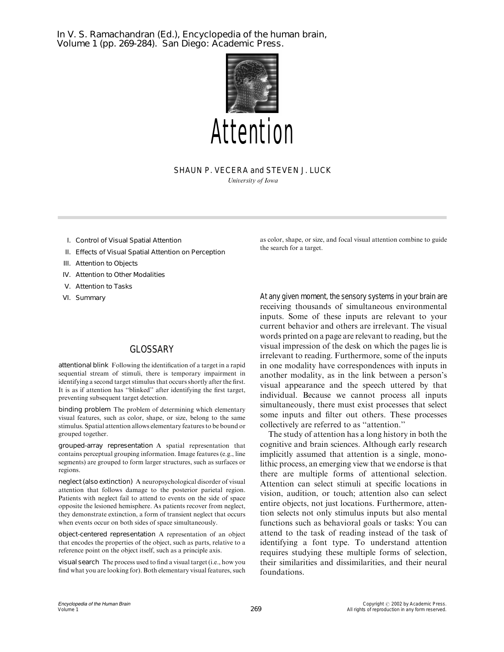In V. S. Ramachandran (Ed.), Encyclopedia of the human brain, Volume 1 (pp. 269-284). San Diego: Academic Press.



# SHAUN P. VECERA and STEVEN J. LUCK

University of Iowa

- I. Control of Visual Spatial Attention
- II. Effects of Visual Spatial Attention on Perception
- III. Attention to Objects
- IV. Attention to Other Modalities
- V. Attention to Tasks
- VI. Summary

# GLOSSARY

attentional blink Following the identification of a target in a rapid sequential stream of stimuli, there is temporary impairment in identifying a second target stimulus that occurs shortly after the first. It is as if attention has ''blinked'' after identifying the first target, preventing subsequent target detection.

binding problem The problem of determining which elementary visual features, such as color, shape, or size, belong to the same stimulus. Spatial attention allows elementary features to be bound or grouped together.

grouped-array representation A spatial representation that contains perceptual grouping information. Image features (e.g., line segments) are grouped to form larger structures, such as surfaces or regions.

neglect (also extinction) A neuropsychological disorder of visual attention that follows damage to the posterior parietal region. Patients with neglect fail to attend to events on the side of space opposite the lesioned hemisphere. As patients recover from neglect, they demonstrate extinction, a form of transient neglect that occurs when events occur on both sides of space simultaneously.

object-centered representation A representation of an object that encodes the properties of the object, such as parts, relative to a reference point on the object itself, such as a principle axis.

visual search The process used to find a visual target (i.e., how you find what you are looking for). Both elementary visual features, such as color, shape, or size, and focal visual attention combine to guide the search for a target.

At any given moment, the sensory systems in your brain are receiving thousands of simultaneous environmental inputs. Some of these inputs are relevant to your current behavior and others are irrelevant. The visual words printed on a page are relevant to reading, but the visual impression of the desk on which the pages lie is irrelevant to reading. Furthermore, some of the inputs in one modality have correspondences with inputs in another modality, as in the link between a person's visual appearance and the speech uttered by that individual. Because we cannot process all inputs simultaneously, there must exist processes that select some inputs and filter out others. These processes collectively are referred to as ''attention.''

The study of attention has a long history in both the cognitive and brain sciences. Although early research implicitly assumed that attention is a single, monolithic process, an emerging view that we endorse is that there are multiple forms of attentional selection. Attention can select stimuli at specific locations in vision, audition, or touch; attention also can select entire objects, not just locations. Furthermore, attention selects not only stimulus inputs but also mental functions such as behavioral goals or tasks: You can attend to the task of reading instead of the task of identifying a font type. To understand attention requires studying these multiple forms of selection, their similarities and dissimilarities, and their neural foundations.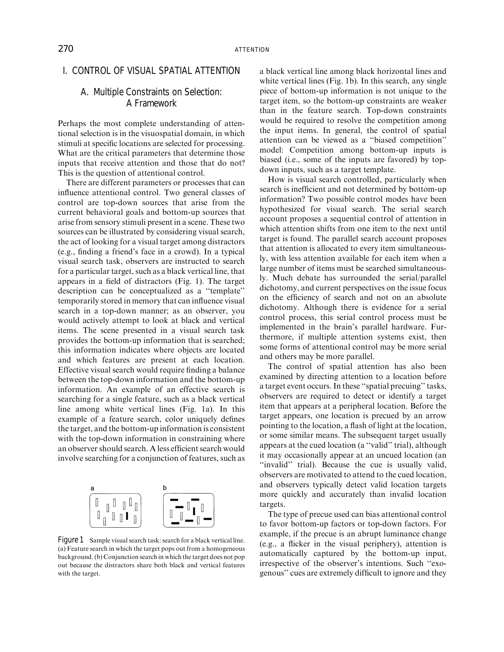## I. CONTROL OF VISUAL SPATIAL ATTENTION

# A. Multiple Constraints on Selection: A Framework

Perhaps the most complete understanding of attentional selection is in the visuospatial domain, in which stimuli at specific locations are selected for processing. What are the critical parameters that determine those inputs that receive attention and those that do not? This is the question of attentional control.

There are different parameters or processes that can influence attentional control. Two general classes of control are top-down sources that arise from the current behavioral goals and bottom-up sources that arise from sensory stimuli present in a scene. These two sources can be illustrated by considering visual search, the act of looking for a visual target among distractors (e.g., finding a friend's face in a crowd). In a typical visual search task, observers are instructed to search for a particular target, such as a black vertical line, that appears in a field of distractors (Fig. 1). The target description can be conceptualized as a ''template'' temporarily stored in memory that can influence visual search in a top-down manner; as an observer, you would actively attempt to look at black and vertical items. The scene presented in a visual search task provides the bottom-up information that is searched; this information indicates where objects are located and which features are present at each location. Effective visual search would require finding a balance between the top-down information and the bottom-up information. An example of an effective search is searching for a single feature, such as a black vertical line among white vertical lines (Fig. 1a). In this example of a feature search, color uniquely defines the target, and the bottom-up information is consistent with the top-down information in constraining where an observer should search. A less efficient search would involve searching for a conjunction of features, such as



Figure 1 Sample visual search task: search for a black vertical line. (a) Feature search in which the target pops out from a homogeneous background. (b) Conjunction search in which the target does not pop out because the distractors share both black and vertical features with the target.

a black vertical line among black horizontal lines and white vertical lines (Fig. 1b). In this search, any single piece of bottom-up information is not unique to the target item, so the bottom-up constraints are weaker than in the feature search. Top-down constraints would be required to resolve the competition among the input items. In general, the control of spatial attention can be viewed as a ''biased competition'' model: Competition among bottom-up inputs is biased (i.e., some of the inputs are favored) by topdown inputs, such as a target template.

How is visual search controlled, particularly when search is inefficient and not determined by bottom-up information? Two possible control modes have been hypothesized for visual search. The serial search account proposes a sequential control of attention in which attention shifts from one item to the next until target is found. The parallel search account proposes that attention is allocated to every item simultaneously, with less attention available for each item when a large number of items must be searched simultaneously. Much debate has surrounded the serial/parallel dichotomy, and current perspectives on the issue focus on the efficiency of search and not on an absolute dichotomy. Although there is evidence for a serial control process, this serial control process must be implemented in the brain's parallel hardware. Furthermore, if multiple attention systems exist, then some forms of attentional control may be more serial and others may be more parallel.

The control of spatial attention has also been examined by directing attention to a location before a target event occurs. In these ''spatial precuing'' tasks, observers are required to detect or identify a target item that appears at a peripheral location. Before the target appears, one location is precued by an arrow pointing to the location, a flash of light at the location, or some similar means. The subsequent target usually appears at the cued location (a ''valid'' trial), although it may occasionally appear at an uncued location (an "invalid" trial). Because the cue is usually valid, observers are motivated to attend to the cued location, and observers typically detect valid location targets more quickly and accurately than invalid location targets.

The type of precue used can bias attentional control to favor bottom-up factors or top-down factors. For example, if the precue is an abrupt luminance change (e.g., a flicker in the visual periphery), attention is automatically captured by the bottom-up input, irrespective of the observer's intentions. Such ''exogenous'' cues are extremely difficult to ignore and they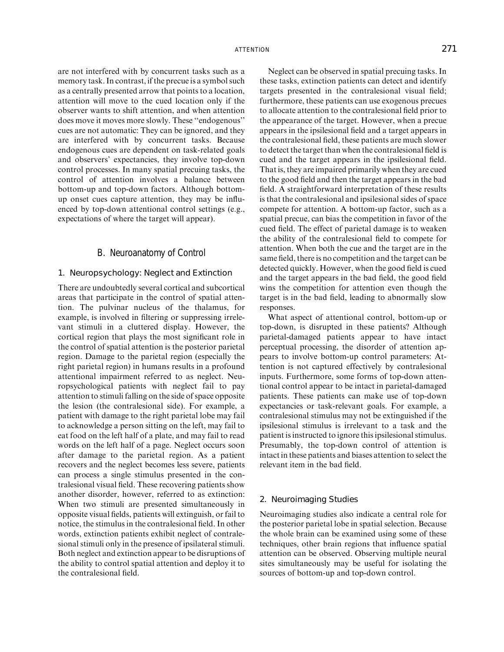are not interfered with by concurrent tasks such as a memory task. In contrast, if the precue is a symbol such as a centrally presented arrow that points to a location, attention will move to the cued location only if the observer wants to shift attention, and when attention does move it moves more slowly. These ''endogenous'' cues are not automatic: They can be ignored, and they are interfered with by concurrent tasks. Because endogenous cues are dependent on task-related goals and observers' expectancies, they involve top-down control processes. In many spatial precuing tasks, the control of attention involves a balance between bottom-up and top-down factors. Although bottomup onset cues capture attention, they may be influenced by top-down attentional control settings (e.g., expectations of where the target will appear).

# B. Neuroanatomy of Control

### 1. Neuropsychology: Neglect and Extinction

There are undoubtedly several cortical and subcortical areas that participate in the control of spatial attention. The pulvinar nucleus of the thalamus, for example, is involved in filtering or suppressing irrelevant stimuli in a cluttered display. However, the cortical region that plays the most significant role in the control of spatial attention is the posterior parietal region. Damage to the parietal region (especially the right parietal region) in humans results in a profound attentional impairment referred to as neglect. Neuropsychological patients with neglect fail to pay attention to stimuli falling on the side of space opposite the lesion (the contralesional side). For example, a patient with damage to the right parietal lobe may fail to acknowledge a person sitting on the left, may fail to eat food on the left half of a plate, and may fail to read words on the left half of a page. Neglect occurs soon after damage to the parietal region. As a patient recovers and the neglect becomes less severe, patients can process a single stimulus presented in the contralesional visual field. These recovering patients show another disorder, however, referred to as extinction: When two stimuli are presented simultaneously in opposite visual fields, patients will extinguish, or fail to notice, the stimulus in the contralesional field. In other words, extinction patients exhibit neglect of contralesional stimuli only in the presence of ipsilateral stimuli. Both neglect and extinction appear to be disruptions of the ability to control spatial attention and deploy it to the contralesional field.

Neglect can be observed in spatial precuing tasks. In these tasks, extinction patients can detect and identify targets presented in the contralesional visual field; furthermore, these patients can use exogenous precues to allocate attention to the contralesional field prior to the appearance of the target. However, when a precue appears in the ipsilesional field and a target appears in the contralesional field, these patients are much slower to detect the target than when the contralesional field is cued and the target appears in the ipsilesional field. That is, they are impaired primarily when they are cued to the good field and then the target appears in the bad field. A straightforward interpretation of these results is that the contralesional and ipsilesional sides of space compete for attention. A bottom-up factor, such as a spatial precue, can bias the competition in favor of the cued field. The effect of parietal damage is to weaken the ability of the contralesional field to compete for attention. When both the cue and the target are in the same field, there is no competition and the target can be detected quickly. However, when the good field is cued and the target appears in the bad field, the good field wins the competition for attention even though the target is in the bad field, leading to abnormally slow responses.

What aspect of attentional control, bottom-up or top-down, is disrupted in these patients? Although parietal-damaged patients appear to have intact perceptual processing, the disorder of attention appears to involve bottom-up control parameters: Attention is not captured effectively by contralesional inputs. Furthermore, some forms of top-down attentional control appear to be intact in parietal-damaged patients. These patients can make use of top-down expectancies or task-relevant goals. For example, a contralesional stimulus may not be extinguished if the ipsilesional stimulus is irrelevant to a task and the patient is instructed to ignore this ipsilesional stimulus. Presumably, the top-down control of attention is intact in these patients and biases attention to select the relevant item in the bad field.

#### 2. Neuroimaging Studies

Neuroimaging studies also indicate a central role for the posterior parietal lobe in spatial selection. Because the whole brain can be examined using some of these techniques, other brain regions that influence spatial attention can be observed. Observing multiple neural sites simultaneously may be useful for isolating the sources of bottom-up and top-down control.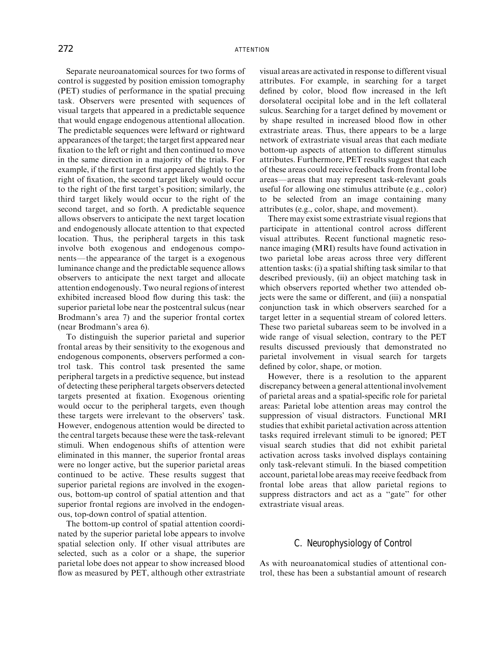Separate neuroanatomical sources for two forms of control is suggested by position emission tomography (PET) studies of performance in the spatial precuing task. Observers were presented with sequences of visual targets that appeared in a predictable sequence that would engage endogenous attentional allocation. The predictable sequences were leftward or rightward appearances of the target; the target first appeared near fixation to the left or right and then continued to move in the same direction in a majority of the trials. For example, if the first target first appeared slightly to the right of fixation, the second target likely would occur to the right of the first target's position; similarly, the third target likely would occur to the right of the second target, and so forth. A predictable sequence allows observers to anticipate the next target location and endogenously allocate attention to that expected location. Thus, the peripheral targets in this task involve both exogenous and endogenous components—the appearance of the target is a exogenous luminance change and the predictable sequence allows observers to anticipate the next target and allocate attention endogenously. Two neural regions of interest exhibited increased blood flow during this task: the superior parietal lobe near the postcentral sulcus (near Brodmann's area 7) and the superior frontal cortex (near Brodmann's area 6).

To distinguish the superior parietal and superior frontal areas by their sensitivity to the exogenous and endogenous components, observers performed a control task. This control task presented the same peripheral targets in a predictive sequence, but instead of detecting these peripheral targets observers detected targets presented at fixation. Exogenous orienting would occur to the peripheral targets, even though these targets were irrelevant to the observers' task. However, endogenous attention would be directed to the central targets because these were the task-relevant stimuli. When endogenous shifts of attention were eliminated in this manner, the superior frontal areas were no longer active, but the superior parietal areas continued to be active. These results suggest that superior parietal regions are involved in the exogenous, bottom-up control of spatial attention and that superior frontal regions are involved in the endogenous, top-down control of spatial attention.

The bottom-up control of spatial attention coordinated by the superior parietal lobe appears to involve spatial selection only. If other visual attributes are selected, such as a color or a shape, the superior parietal lobe does not appear to show increased blood flow as measured by PET, although other extrastriate

visual areas are activated in response to different visual attributes. For example, in searching for a target defined by color, blood flow increased in the left dorsolateral occipital lobe and in the left collateral sulcus. Searching for a target defined by movement or by shape resulted in increased blood flow in other extrastriate areas. Thus, there appears to be a large network of extrastriate visual areas that each mediate bottom-up aspects of attention to different stimulus attributes. Furthermore, PET results suggest that each of these areas could receive feedback from frontal lobe areas—areas that may represent task-relevant goals useful for allowing one stimulus attribute (e.g., color) to be selected from an image containing many attributes (e.g., color, shape, and movement).

There may exist some extrastriate visual regions that participate in attentional control across different visual attributes. Recent functional magnetic resonance imaging (MRI) results have found activation in two parietal lobe areas across three very different attention tasks: (i) a spatial shifting task similar to that described previously, (ii) an object matching task in which observers reported whether two attended objects were the same or different, and (iii) a nonspatial conjunction task in which observers searched for a target letter in a sequential stream of colored letters. These two parietal subareas seem to be involved in a wide range of visual selection, contrary to the PET results discussed previously that demonstrated no parietal involvement in visual search for targets defined by color, shape, or motion.

However, there is a resolution to the apparent discrepancy between a general attentional involvement of parietal areas and a spatial-specific role for parietal areas: Parietal lobe attention areas may control the suppression of visual distractors. Functional MRI studies that exhibit parietal activation across attention tasks required irrelevant stimuli to be ignored; PET visual search studies that did not exhibit parietal activation across tasks involved displays containing only task-relevant stimuli. In the biased competition account, parietal lobe areas may receive feedback from frontal lobe areas that allow parietal regions to suppress distractors and act as a ''gate'' for other extrastriate visual areas.

# C. Neurophysiology of Control

As with neuroanatomical studies of attentional control, these has been a substantial amount of research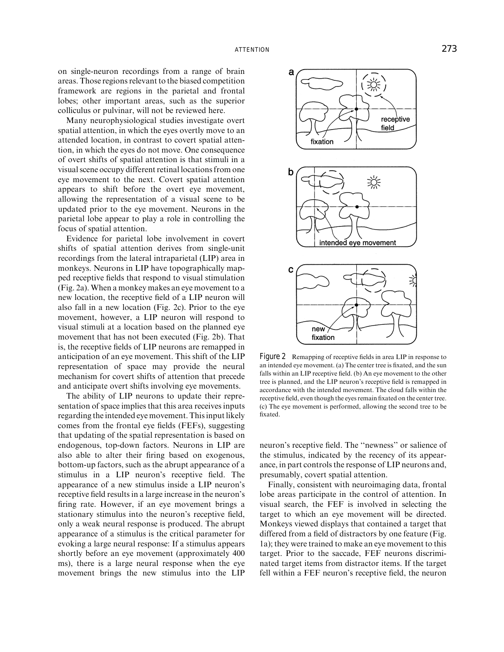on single-neuron recordings from a range of brain areas. Those regions relevant to the biased competition framework are regions in the parietal and frontal lobes; other important areas, such as the superior colliculus or pulvinar, will not be reviewed here.

Many neurophysiological studies investigate overt spatial attention, in which the eyes overtly move to an attended location, in contrast to covert spatial attention, in which the eyes do not move. One consequence of overt shifts of spatial attention is that stimuli in a visual scene occupy different retinal locations from one eye movement to the next. Covert spatial attention appears to shift before the overt eye movement, allowing the representation of a visual scene to be updated prior to the eye movement. Neurons in the parietal lobe appear to play a role in controlling the focus of spatial attention.

Evidence for parietal lobe involvement in covert shifts of spatial attention derives from single-unit recordings from the lateral intraparietal (LIP) area in monkeys. Neurons in LIP have topographically mapped receptive fields that respond to visual stimulation (Fig. 2a). When a monkey makes an eye movement to a new location, the receptive field of a LIP neuron will also fall in a new location (Fig. 2c). Prior to the eye movement, however, a LIP neuron will respond to visual stimuli at a location based on the planned eye movement that has not been executed (Fig. 2b). That is, the receptive fields of LIP neurons are remapped in anticipation of an eye movement. This shift of the LIP representation of space may provide the neural mechanism for covert shifts of attention that precede and anticipate overt shifts involving eye movements.

The ability of LIP neurons to update their representation of space implies that this area receives inputs regarding the intended eye movement. This input likely comes from the frontal eye fields (FEFs), suggesting that updating of the spatial representation is based on endogenous, top-down factors. Neurons in LIP are also able to alter their firing based on exogenous, bottom-up factors, such as the abrupt appearance of a stimulus in a LIP neuron's receptive field. The appearance of a new stimulus inside a LIP neuron's receptive field results in a large increase in the neuron's firing rate. However, if an eye movement brings a stationary stimulus into the neuron's receptive field, only a weak neural response is produced. The abrupt appearance of a stimulus is the critical parameter for evoking a large neural response: If a stimulus appears shortly before an eye movement (approximately 400 ms), there is a large neural response when the eye movement brings the new stimulus into the LIP



Figure 2 Remapping of receptive fields in area LIP in response to an intended eye movement. (a) The center tree is fixated, and the sun falls within an LIP receptive field. (b) An eye movement to the other tree is planned, and the LIP neuron's receptive field is remapped in accordance with the intended movement. The cloud falls within the receptive field, even though the eyes remain fixated on the center tree. (c) The eye movement is performed, allowing the second tree to be fixated.

neuron's receptive field. The ''newness'' or salience of the stimulus, indicated by the recency of its appearance, in part controls the response of LIP neurons and, presumably, covert spatial attention.

Finally, consistent with neuroimaging data, frontal lobe areas participate in the control of attention. In visual search, the FEF is involved in selecting the target to which an eye movement will be directed. Monkeys viewed displays that contained a target that differed from a field of distractors by one feature (Fig. 1a); they were trained to make an eye movement to this target. Prior to the saccade, FEF neurons discriminated target items from distractor items. If the target fell within a FEF neuron's receptive field, the neuron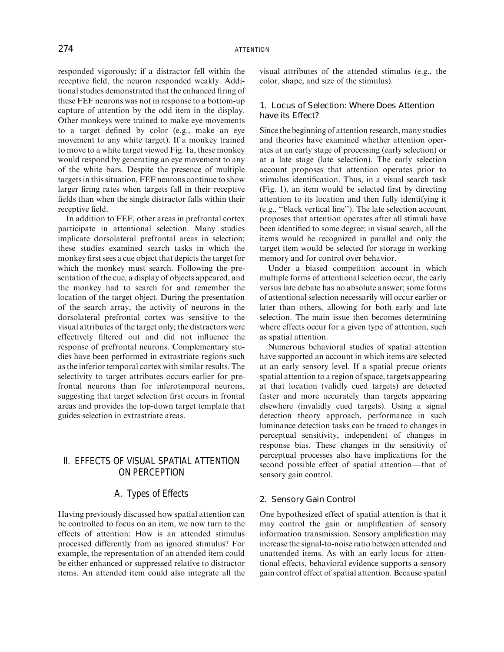responded vigorously; if a distractor fell within the receptive field, the neuron responded weakly. Additional studies demonstrated that the enhanced firing of these FEF neurons was not in response to a bottom-up capture of attention by the odd item in the display. Other monkeys were trained to make eye movements to a target defined by color (e.g., make an eye movement to any white target). If a monkey trained to move to a white target viewed Fig. 1a, these monkey would respond by generating an eye movement to any of the white bars. Despite the presence of multiple targets in this situation, FEF neurons continue to show larger firing rates when targets fall in their receptive fields than when the single distractor falls within their receptive field.

In addition to FEF, other areas in prefrontal cortex participate in attentional selection. Many studies implicate dorsolateral prefrontal areas in selection; these studies examined search tasks in which the monkey first sees a cue object that depicts the target for which the monkey must search. Following the presentation of the cue, a display of objects appeared, and the monkey had to search for and remember the location of the target object. During the presentation of the search array, the activity of neurons in the dorsolateral prefrontal cortex was sensitive to the visual attributes of the target only; the distractors were effectively filtered out and did not influence the response of prefrontal neurons. Complementary studies have been performed in extrastriate regions such as the inferior temporal cortex with similar results. The selectivity to target attributes occurs earlier for prefrontal neurons than for inferotemporal neurons, suggesting that target selection first occurs in frontal areas and provides the top-down target template that guides selection in extrastriate areas.

# II. EFFECTS OF VISUAL SPATIAL ATTENTION ON PERCEPTION

# A. Types of Effects

Having previously discussed how spatial attention can be controlled to focus on an item, we now turn to the effects of attention: How is an attended stimulus processed differently from an ignored stimulus? For example, the representation of an attended item could be either enhanced or suppressed relative to distractor items. An attended item could also integrate all the

visual attributes of the attended stimulus (e.g., the color, shape, and size of the stimulus).

### 1. Locus of Selection: Where Does Attention have its Effect?

Since the beginning of attention research, many studies and theories have examined whether attention operates at an early stage of processing (early selection) or at a late stage (late selection). The early selection account proposes that attention operates prior to stimulus identification. Thus, in a visual search task (Fig. 1), an item would be selected first by directing attention to its location and then fully identifying it (e.g., ''black vertical line''). The late selection account proposes that attention operates after all stimuli have been identified to some degree; in visual search, all the items would be recognized in parallel and only the target item would be selected for storage in working memory and for control over behavior.

Under a biased competition account in which multiple forms of attentional selection occur, the early versus late debate has no absolute answer; some forms of attentional selection necessarily will occur earlier or later than others, allowing for both early and late selection. The main issue then becomes determining where effects occur for a given type of attention, such as spatial attention.

Numerous behavioral studies of spatial attention have supported an account in which items are selected at an early sensory level. If a spatial precue orients spatial attention to a region of space, targets appearing at that location (validly cued targets) are detected faster and more accurately than targets appearing elsewhere (invalidly cued targets). Using a signal detection theory approach, performance in such luminance detection tasks can be traced to changes in perceptual sensitivity, independent of changes in response bias. These changes in the sensitivity of perceptual processes also have implications for the second possible effect of spatial attention—that of sensory gain control.

#### 2. Sensory Gain Control

One hypothesized effect of spatial attention is that it may control the gain or amplification of sensory information transmission. Sensory amplification may increase the signal-to-noise ratio between attended and unattended items. As with an early locus for attentional effects, behavioral evidence supports a sensory gain control effect of spatial attention. Because spatial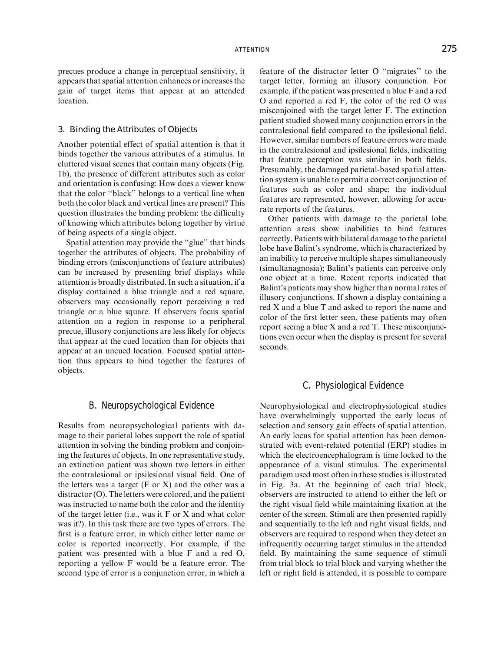precues produce a change in perceptual sensitivity, it appears that spatial attention enhances or increases the gain of target items that appear at an attended location.

#### 3. Binding the Attributes of Objects

Another potential effect of spatial attention is that it binds together the various attributes of a stimulus. In cluttered visual scenes that contain many objects (Fig. 1b), the presence of different attributes such as color and orientation is confusing: How does a viewer know that the color ''black'' belongs to a vertical line when both the color black and vertical lines are present? This question illustrates the binding problem: the difficulty of knowing which attributes belong together by virtue of being aspects of a single object.

Spatial attention may provide the ''glue'' that binds together the attributes of objects. The probability of binding errors (misconjunctions of feature attributes) can be increased by presenting brief displays while attention is broadly distributed. In such a situation, if a display contained a blue triangle and a red square, observers may occasionally report perceiving a red triangle or a blue square. If observers focus spatial attention on a region in response to a peripheral precue, illusory conjunctions are less likely for objects that appear at the cued location than for objects that appear at an uncued location. Focused spatial attention thus appears to bind together the features of objects.

## B. Neuropsychological Evidence

Results from neuropsychological patients with damage to their parietal lobes support the role of spatial attention in solving the binding problem and conjoining the features of objects. In one representative study, an extinction patient was shown two letters in either the contralesional or ipsilesional visual field. One of the letters was a target  $(F \text{ or } X)$  and the other was a distractor (O). The letters were colored, and the patient was instructed to name both the color and the identity of the target letter (i.e., was it F or X and what color was it?). In this task there are two types of errors. The first is a feature error, in which either letter name or color is reported incorrectly. For example, if the patient was presented with a blue F and a red O, reporting a yellow F would be a feature error. The second type of error is a conjunction error, in which a

feature of the distractor letter O ''migrates'' to the target letter, forming an illusory conjunction. For example, if the patient was presented a blue F and a red O and reported a red F, the color of the red O was misconjoined with the target letter F. The extinction patient studied showed many conjunction errors in the contralesional field compared to the ipsilesional field. However, similar numbers of feature errors were made in the contralesional and ipsilesional fields, indicating that feature perception was similar in both fields. Presumably, the damaged parietal-based spatial attention system is unable to permit a correct conjunction of features such as color and shape; the individual features are represented, however, allowing for accurate reports of the features.

Other patients with damage to the parietal lobe attention areas show inabilities to bind features correctly. Patients with bilateral damage to the parietal lobe have Balint's syndrome, which is characterized by an inability to perceive multiple shapes simultaneously (simultanagnosia); Balint's patients can perceive only one object at a time. Recent reports indicated that Balint's patients may show higher than normal rates of illusory conjunctions. If shown a display containing a red X and a blue T and asked to report the name and color of the first letter seen, these patients may often report seeing a blue X and a red T. These misconjunctions even occur when the display is present for several seconds.

### C. Physiological Evidence

Neurophysiological and electrophysiological studies have overwhelmingly supported the early locus of selection and sensory gain effects of spatial attention. An early locus for spatial attention has been demonstrated with event-related potential (ERP) studies in which the electroencephalogram is time locked to the appearance of a visual stimulus. The experimental paradigm used most often in these studies is illustrated in Fig. 3a. At the beginning of each trial block, observers are instructed to attend to either the left or the right visual field while maintaining fixation at the center of the screen. Stimuli are then presented rapidly and sequentially to the left and right visual fields, and observers are required to respond when they detect an infrequently occurring target stimulus in the attended field. By maintaining the same sequence of stimuli from trial block to trial block and varying whether the left or right field is attended, it is possible to compare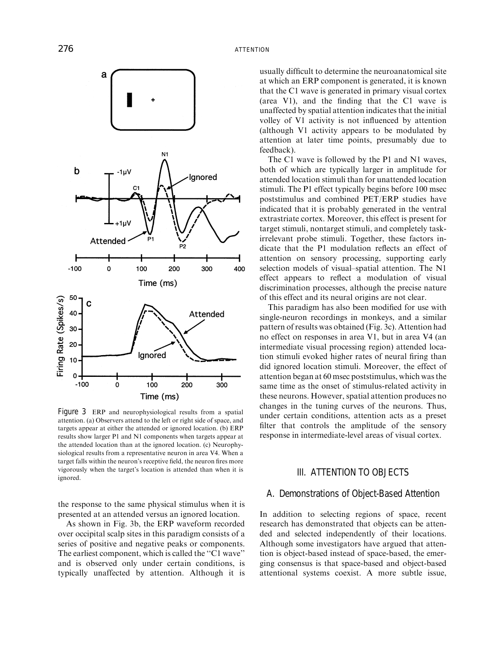

The C1 wave is followed by the P1 and N1 waves, both of which are typically larger in amplitude for attended location stimuli than for unattended location stimuli. The P1 effect typically begins before 100 msec poststimulus and combined PET/ERP studies have indicated that it is probably generated in the ventral extrastriate cortex. Moreover, this effect is present for target stimuli, nontarget stimuli, and completely taskirrelevant probe stimuli. Together, these factors indicate that the P1 modulation reflects an effect of attention on sensory processing, supporting early selection models of visual–spatial attention. The N1 effect appears to reflect a modulation of visual discrimination processes, although the precise nature of this effect and its neural origins are not clear.

This paradigm has also been modified for use with single-neuron recordings in monkeys, and a similar pattern of results was obtained (Fig. 3c). Attention had no effect on responses in area V1, but in area V4 (an intermediate visual processing region) attended location stimuli evoked higher rates of neural firing than did ignored location stimuli. Moreover, the effect of attention began at 60 msec poststimulus, which was the same time as the onset of stimulus-related activity in these neurons. However, spatial attention produces no changes in the tuning curves of the neurons. Thus, under certain conditions, attention acts as a preset filter that controls the amplitude of the sensory response in intermediate-level areas of visual cortex.

# III. ATTENTION TO OBJECTS

# A. Demonstrations of Object-Based Attention

In addition to selecting regions of space, recent research has demonstrated that objects can be attended and selected independently of their locations. Although some investigators have argued that attention is object-based instead of space-based, the emerging consensus is that space-based and object-based attentional systems coexist. A more subtle issue,



Figure 3 ERP and neurophysiological results from a spatial attention. (a) Observers attend to the left or right side of space, and targets appear at either the attended or ignored location. (b) ERP results show larger P1 and N1 components when targets appear at the attended location than at the ignored location. (c) Neurophysiological results from a representative neuron in area V4. When a target falls within the neuron's receptive field, the neuron fires more vigorously when the target's location is attended than when it is ignored.

the response to the same physical stimulus when it is presented at an attended versus an ignored location.

As shown in Fig. 3b, the ERP waveform recorded over occipital scalp sites in this paradigm consists of a series of positive and negative peaks or components. The earliest component, which is called the "C1 wave" and is observed only under certain conditions, is typically unaffected by attention. Although it is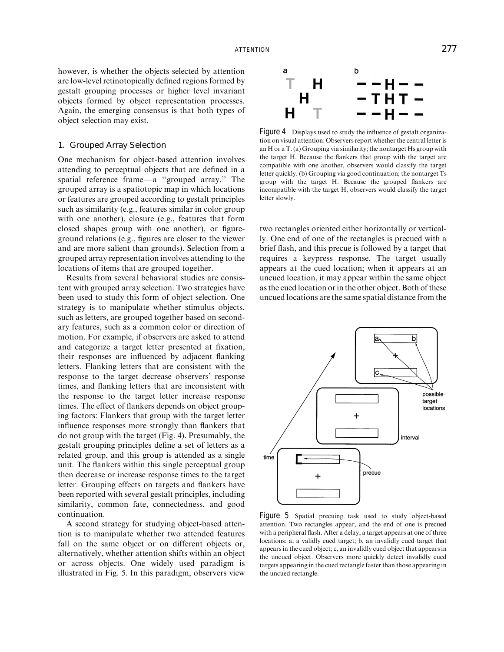however, is whether the objects selected by attention are low-level retinotopically defined regions formed by gestalt grouping processes or higher level invariant objects formed by object representation processes. Again, the emerging consensus is that both types of object selection may exist.

### 1. Grouped Array Selection

One mechanism for object-based attention involves attending to perceptual objects that are defined in a spatial reference frame $-a$  "grouped array." The grouped array is a spatiotopic map in which locations or features are grouped according to gestalt principles such as similarity (e.g., features similar in color group with one another), closure (e.g., features that form closed shapes group with one another), or figureground relations (e.g., figures are closer to the viewer and are more salient than grounds). Selection from a grouped array representation involves attending to the locations of items that are grouped together.

Results from several behavioral studies are consistent with grouped array selection. Two strategies have been used to study this form of object selection. One strategy is to manipulate whether stimulus objects, such as letters, are grouped together based on secondary features, such as a common color or direction of motion. For example, if observers are asked to attend and categorize a target letter presented at fixation, their responses are influenced by adjacent flanking letters. Flanking letters that are consistent with the response to the target decrease observers' response times, and flanking letters that are inconsistent with the response to the target letter increase response times. The effect of flankers depends on object grouping factors: Flankers that group with the target letter influence responses more strongly than flankers that do not group with the target (Fig. 4). Presumably, the gestalt grouping principles define a set of letters as a related group, and this group is attended as a single unit. The flankers within this single perceptual group then decrease or increase response times to the target letter. Grouping effects on targets and flankers have been reported with several gestalt principles, including similarity, common fate, connectedness, and good continuation.

A second strategy for studying object-based attention is to manipulate whether two attended features fall on the same object or on different objects or, alternatively, whether attention shifts within an object or across objects. One widely used paradigm is illustrated in Fig. 5. In this paradigm, observers view



Figure 4 Displays used to study the influence of gestalt organization on visual attention. Observers report whether the central letter is an H or a T. (a) Grouping via similarity; the nontarget Hs group with the target H. Because the flankers that group with the target are compatible with one another, observers would classify the target letter quickly. (b) Grouping via good continuation; the nontarget Ts group with the target H. Because the grouped flankers are incompatible with the target H, observers would classify the target letter slowly.

two rectangles oriented either horizontally or vertically. One end of one of the rectangles is precued with a brief flash, and this precue is followed by a target that requires a keypress response. The target usually appears at the cued location; when it appears at an uncued location, it may appear within the same object as the cued location or in the other object. Both of these uncued locations are the same spatial distance from the



Figure 5 Spatial precuing task used to study object-based attention. Two rectangles appear, and the end of one is precued with a peripheral flash. After a delay, a target appears at one of three locations: a, a validly cued target; b, an invalidly cued target that appears in the cued object; c, an invalidly cued object that appears in the uncued object. Observers more quickly detect invalidly cued targets appearing in the cued rectangle faster than those appearing in the uncued rectangle.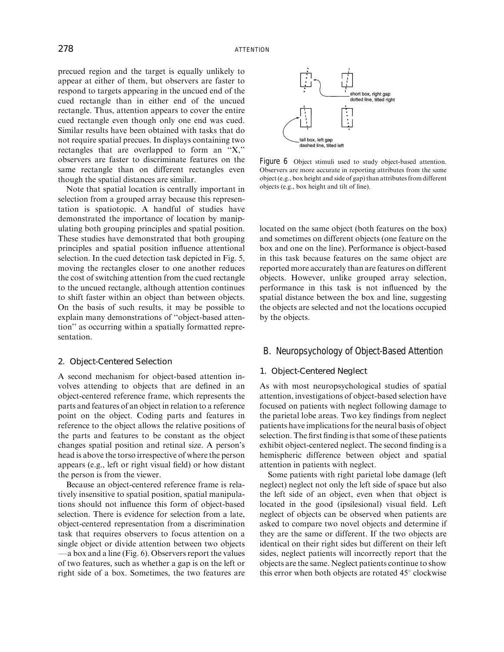precued region and the target is equally unlikely to appear at either of them, but observers are faster to respond to targets appearing in the uncued end of the cued rectangle than in either end of the uncued rectangle. Thus, attention appears to cover the entire cued rectangle even though only one end was cued. Similar results have been obtained with tasks that do not require spatial precues. In displays containing two rectangles that are overlapped to form an "X," observers are faster to discriminate features on the same rectangle than on different rectangles even though the spatial distances are similar.

Note that spatial location is centrally important in selection from a grouped array because this representation is spatiotopic. A handful of studies have demonstrated the importance of location by manipulating both grouping principles and spatial position. These studies have demonstrated that both grouping principles and spatial position influence attentional selection. In the cued detection task depicted in Fig. 5, moving the rectangles closer to one another reduces the cost of switching attention from the cued rectangle to the uncued rectangle, although attention continues to shift faster within an object than between objects. On the basis of such results, it may be possible to explain many demonstrations of ''object-based attention'' as occurring within a spatially formatted representation.

### 2. Object-Centered Selection

A second mechanism for object-based attention involves attending to objects that are defined in an object-centered reference frame, which represents the parts and features of an object in relation to a reference point on the object. Coding parts and features in reference to the object allows the relative positions of the parts and features to be constant as the object changes spatial position and retinal size. A person's head is above the torso irrespective of where the person appears (e.g., left or right visual field) or how distant the person is from the viewer.

Because an object-centered reference frame is relatively insensitive to spatial position, spatial manipulations should not influence this form of object-based selection. There is evidence for selection from a late, object-centered representation from a discrimination task that requires observers to focus attention on a single object or divide attention between two objects  $-\alpha$  box and a line (Fig. 6). Observers report the values of two features, such as whether a gap is on the left or right side of a box. Sometimes, the two features are



Figure 6 Object stimuli used to study object-based attention. Observers are more accurate in reporting attributes from the same object (e.g., box height and side of gap) than attributes from different objects (e.g., box height and tilt of line).

located on the same object (both features on the box) and sometimes on different objects (one feature on the box and one on the line). Performance is object-based in this task because features on the same object are reported more accurately than are features on different objects. However, unlike grouped array selection, performance in this task is not influenced by the spatial distance between the box and line, suggesting the objects are selected and not the locations occupied by the objects.

## B. Neuropsychology of Object-Based Attention

#### 1. Object-Centered Neglect

As with most neuropsychological studies of spatial attention, investigations of object-based selection have focused on patients with neglect following damage to the parietal lobe areas. Two key findings from neglect patients have implications for the neural basis of object selection. The first finding is that some of these patients exhibit object-centered neglect. The second finding is a hemispheric difference between object and spatial attention in patients with neglect.

Some patients with right parietal lobe damage (left neglect) neglect not only the left side of space but also the left side of an object, even when that object is located in the good (ipsilesional) visual field. Left neglect of objects can be observed when patients are asked to compare two novel objects and determine if they are the same or different. If the two objects are identical on their right sides but different on their left sides, neglect patients will incorrectly report that the objects are the same. Neglect patients continue to show this error when both objects are rotated  $45^{\circ}$  clockwise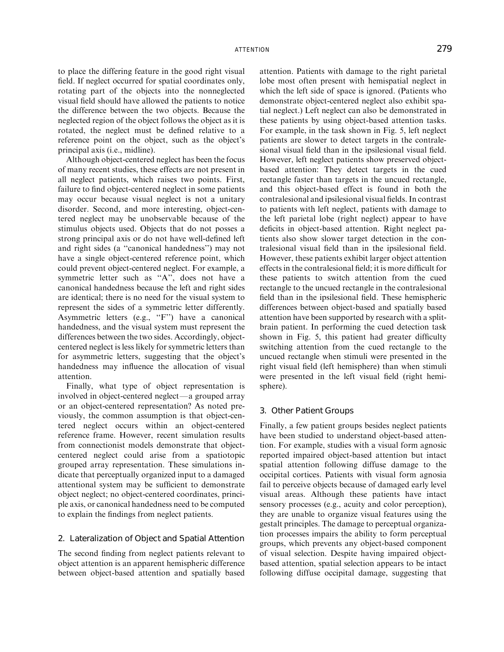to place the differing feature in the good right visual field. If neglect occurred for spatial coordinates only, rotating part of the objects into the nonneglected visual field should have allowed the patients to notice the difference between the two objects. Because the neglected region of the object follows the object as it is rotated, the neglect must be defined relative to a reference point on the object, such as the object's principal axis (i.e., midline).

Although object-centered neglect has been the focus of many recent studies, these effects are not present in all neglect patients, which raises two points. First, failure to find object-centered neglect in some patients may occur because visual neglect is not a unitary disorder. Second, and more interesting, object-centered neglect may be unobservable because of the stimulus objects used. Objects that do not posses a strong principal axis or do not have well-defined left and right sides (a ''canonical handedness'') may not have a single object-centered reference point, which could prevent object-centered neglect. For example, a symmetric letter such as ''A'', does not have a canonical handedness because the left and right sides are identical; there is no need for the visual system to represent the sides of a symmetric letter differently. Asymmetric letters (e.g., ''F'') have a canonical handedness, and the visual system must represent the differences between the two sides. Accordingly, objectcentered neglect is less likely for symmetric letters than for asymmetric letters, suggesting that the object's handedness may influence the allocation of visual attention.

Finally, what type of object representation is involved in object-centered neglect—a grouped array or an object-centered representation? As noted previously, the common assumption is that object-centered neglect occurs within an object-centered reference frame. However, recent simulation results from connectionist models demonstrate that objectcentered neglect could arise from a spatiotopic grouped array representation. These simulations indicate that perceptually organized input to a damaged attentional system may be sufficient to demonstrate object neglect; no object-centered coordinates, principle axis, or canonical handedness need to be computed to explain the findings from neglect patients.

### 2. Lateralization of Object and Spatial Attention

The second finding from neglect patients relevant to object attention is an apparent hemispheric difference between object-based attention and spatially based

attention. Patients with damage to the right parietal lobe most often present with hemispatial neglect in which the left side of space is ignored. (Patients who demonstrate object-centered neglect also exhibit spatial neglect.) Left neglect can also be demonstrated in these patients by using object-based attention tasks. For example, in the task shown in Fig. 5, left neglect patients are slower to detect targets in the contralesional visual field than in the ipsilesional visual field. However, left neglect patients show preserved objectbased attention: They detect targets in the cued rectangle faster than targets in the uncued rectangle, and this object-based effect is found in both the contralesional and ipsilesional visual fields. In contrast to patients with left neglect, patients with damage to the left parietal lobe (right neglect) appear to have deficits in object-based attention. Right neglect patients also show slower target detection in the contralesional visual field than in the ipsilesional field. However, these patients exhibit larger object attention effects in the contralesional field; it is more difficult for these patients to switch attention from the cued rectangle to the uncued rectangle in the contralesional field than in the ipsilesional field. These hemispheric differences between object-based and spatially based attention have been supported by research with a splitbrain patient. In performing the cued detection task shown in Fig. 5, this patient had greater difficulty switching attention from the cued rectangle to the uncued rectangle when stimuli were presented in the right visual field (left hemisphere) than when stimuli were presented in the left visual field (right hemisphere).

#### 3. Other Patient Groups

Finally, a few patient groups besides neglect patients have been studied to understand object-based attention. For example, studies with a visual form agnosic reported impaired object-based attention but intact spatial attention following diffuse damage to the occipital cortices. Patients with visual form agnosia fail to perceive objects because of damaged early level visual areas. Although these patients have intact sensory processes (e.g., acuity and color perception), they are unable to organize visual features using the gestalt principles. The damage to perceptual organization processes impairs the ability to form perceptual groups, which prevents any object-based component of visual selection. Despite having impaired objectbased attention, spatial selection appears to be intact following diffuse occipital damage, suggesting that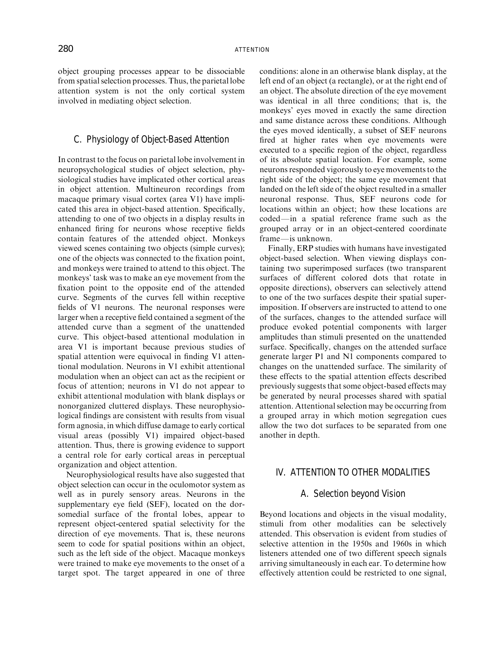object grouping processes appear to be dissociable from spatial selection processes. Thus, the parietal lobe attention system is not the only cortical system involved in mediating object selection.

#### C. Physiology of Object-Based Attention

In contrast to the focus on parietal lobe involvement in neuropsychological studies of object selection, physiological studies have implicated other cortical areas in object attention. Multineuron recordings from macaque primary visual cortex (area V1) have implicated this area in object-based attention. Specifically, attending to one of two objects in a display results in enhanced firing for neurons whose receptive fields contain features of the attended object. Monkeys viewed scenes containing two objects (simple curves); one of the objects was connected to the fixation point, and monkeys were trained to attend to this object. The monkeys' task was to make an eye movement from the fixation point to the opposite end of the attended curve. Segments of the curves fell within receptive fields of V1 neurons. The neuronal responses were larger when a receptive field contained a segment of the attended curve than a segment of the unattended curve. This object-based attentional modulation in area V1 is important because previous studies of spatial attention were equivocal in finding V1 attentional modulation. Neurons in V1 exhibit attentional modulation when an object can act as the recipient or focus of attention; neurons in V1 do not appear to exhibit attentional modulation with blank displays or nonorganized cluttered displays. These neurophysiological findings are consistent with results from visual form agnosia, in which diffuse damage to early cortical visual areas (possibly V1) impaired object-based attention. Thus, there is growing evidence to support a central role for early cortical areas in perceptual organization and object attention.

Neurophysiological results have also suggested that object selection can occur in the oculomotor system as well as in purely sensory areas. Neurons in the supplementary eye field (SEF), located on the dorsomedial surface of the frontal lobes, appear to represent object-centered spatial selectivity for the direction of eye movements. That is, these neurons seem to code for spatial positions within an object, such as the left side of the object. Macaque monkeys were trained to make eye movements to the onset of a target spot. The target appeared in one of three

conditions: alone in an otherwise blank display, at the left end of an object (a rectangle), or at the right end of an object. The absolute direction of the eye movement was identical in all three conditions; that is, the monkeys' eyes moved in exactly the same direction and same distance across these conditions. Although the eyes moved identically, a subset of SEF neurons fired at higher rates when eye movements were executed to a specific region of the object, regardless of its absolute spatial location. For example, some neurons responded vigorously to eye movements to the right side of the object; the same eye movement that landed on the left side of the object resulted in a smaller neuronal response. Thus, SEF neurons code for locations within an object; how these locations are coded—in a spatial reference frame such as the grouped array or in an object-centered coordinate frame-is unknown.

Finally, ERP studies with humans have investigated object-based selection. When viewing displays containing two superimposed surfaces (two transparent surfaces of different colored dots that rotate in opposite directions), observers can selectively attend to one of the two surfaces despite their spatial superimposition. If observers are instructed to attend to one of the surfaces, changes to the attended surface will produce evoked potential components with larger amplitudes than stimuli presented on the unattended surface. Specifically, changes on the attended surface generate larger P1 and N1 components compared to changes on the unattended surface. The similarity of these effects to the spatial attention effects described previously suggests that some object-based effects may be generated by neural processes shared with spatial attention. Attentional selection may be occurring from a grouped array in which motion segregation cues allow the two dot surfaces to be separated from one another in depth.

# IV. ATTENTION TO OTHER MODALITIES

## A. Selection beyond Vision

Beyond locations and objects in the visual modality, stimuli from other modalities can be selectively attended. This observation is evident from studies of selective attention in the 1950s and 1960s in which listeners attended one of two different speech signals arriving simultaneously in each ear. To determine how effectively attention could be restricted to one signal,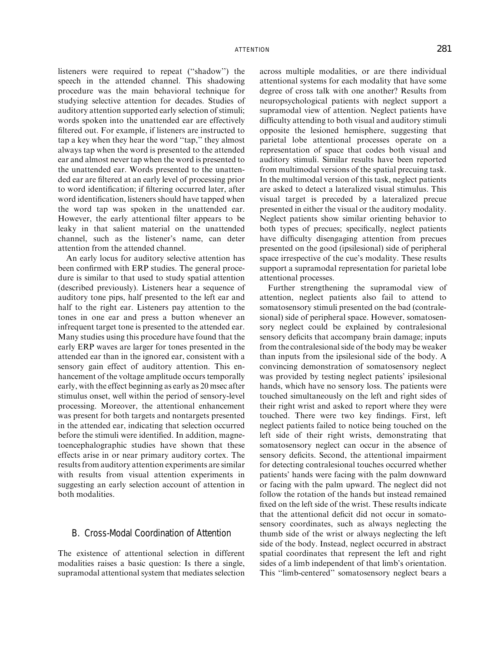listeners were required to repeat (''shadow'') the speech in the attended channel. This shadowing procedure was the main behavioral technique for studying selective attention for decades. Studies of auditory attention supported early selection of stimuli; words spoken into the unattended ear are effectively filtered out. For example, if listeners are instructed to tap a key when they hear the word ''tap,'' they almost always tap when the word is presented to the attended ear and almost never tap when the word is presented to the unattended ear. Words presented to the unattended ear are filtered at an early level of processing prior to word identification; if filtering occurred later, after word identification, listeners should have tapped when the word tap was spoken in the unattended ear. However, the early attentional filter appears to be leaky in that salient material on the unattended channel, such as the listener's name, can deter attention from the attended channel.

An early locus for auditory selective attention has been confirmed with ERP studies. The general procedure is similar to that used to study spatial attention (described previously). Listeners hear a sequence of auditory tone pips, half presented to the left ear and half to the right ear. Listeners pay attention to the tones in one ear and press a button whenever an infrequent target tone is presented to the attended ear. Many studies using this procedure have found that the early ERP waves are larger for tones presented in the attended ear than in the ignored ear, consistent with a sensory gain effect of auditory attention. This enhancement of the voltage amplitude occurs temporally early, with the effect beginning as early as 20 msec after stimulus onset, well within the period of sensory-level processing. Moreover, the attentional enhancement was present for both targets and nontargets presented in the attended ear, indicating that selection occurred before the stimuli were identified. In addition, magnetoencephalographic studies have shown that these effects arise in or near primary auditory cortex. The results from auditory attention experiments are similar with results from visual attention experiments in suggesting an early selection account of attention in both modalities.

## B. Cross-Modal Coordination of Attention

The existence of attentional selection in different modalities raises a basic question: Is there a single, supramodal attentional system that mediates selection across multiple modalities, or are there individual attentional systems for each modality that have some degree of cross talk with one another? Results from neuropsychological patients with neglect support a supramodal view of attention. Neglect patients have difficulty attending to both visual and auditory stimuli opposite the lesioned hemisphere, suggesting that parietal lobe attentional processes operate on a representation of space that codes both visual and auditory stimuli. Similar results have been reported from multimodal versions of the spatial precuing task. In the multimodal version of this task, neglect patients are asked to detect a lateralized visual stimulus. This visual target is preceded by a lateralized precue presented in either the visual or the auditory modality. Neglect patients show similar orienting behavior to both types of precues; specifically, neglect patients have difficulty disengaging attention from precues presented on the good (ipsilesional) side of peripheral space irrespective of the cue's modality. These results support a supramodal representation for parietal lobe attentional processes.

Further strengthening the supramodal view of attention, neglect patients also fail to attend to somatosensory stimuli presented on the bad (contralesional) side of peripheral space. However, somatosensory neglect could be explained by contralesional sensory deficits that accompany brain damage; inputs from the contralesional side of the body may be weaker than inputs from the ipsilesional side of the body. A convincing demonstration of somatosensory neglect was provided by testing neglect patients' ipsilesional hands, which have no sensory loss. The patients were touched simultaneously on the left and right sides of their right wrist and asked to report where they were touched. There were two key findings. First, left neglect patients failed to notice being touched on the left side of their right wrists, demonstrating that somatosensory neglect can occur in the absence of sensory deficits. Second, the attentional impairment for detecting contralesional touches occurred whether patients' hands were facing with the palm downward or facing with the palm upward. The neglect did not follow the rotation of the hands but instead remained fixed on the left side of the wrist. These results indicate that the attentional deficit did not occur in somatosensory coordinates, such as always neglecting the thumb side of the wrist or always neglecting the left side of the body. Instead, neglect occurred in abstract spatial coordinates that represent the left and right sides of a limb independent of that limb's orientation. This ''limb-centered'' somatosensory neglect bears a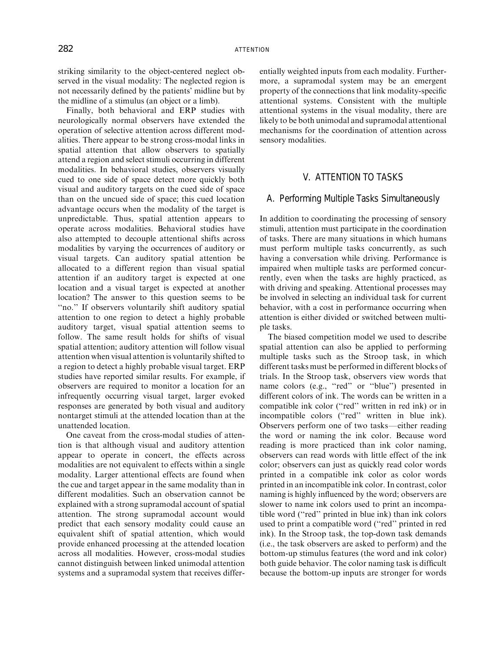striking similarity to the object-centered neglect observed in the visual modality: The neglected region is not necessarily defined by the patients' midline but by the midline of a stimulus (an object or a limb).

Finally, both behavioral and ERP studies with neurologically normal observers have extended the operation of selective attention across different modalities. There appear to be strong cross-modal links in spatial attention that allow observers to spatially attend a region and select stimuli occurring in different modalities. In behavioral studies, observers visually cued to one side of space detect more quickly both visual and auditory targets on the cued side of space than on the uncued side of space; this cued location advantage occurs when the modality of the target is unpredictable. Thus, spatial attention appears to operate across modalities. Behavioral studies have also attempted to decouple attentional shifts across modalities by varying the occurrences of auditory or visual targets. Can auditory spatial attention be allocated to a different region than visual spatial attention if an auditory target is expected at one location and a visual target is expected at another location? The answer to this question seems to be "no." If observers voluntarily shift auditory spatial attention to one region to detect a highly probable auditory target, visual spatial attention seems to follow. The same result holds for shifts of visual spatial attention; auditory attention will follow visual attention when visual attention is voluntarily shifted to a region to detect a highly probable visual target. ERP studies have reported similar results. For example, if observers are required to monitor a location for an infrequently occurring visual target, larger evoked responses are generated by both visual and auditory nontarget stimuli at the attended location than at the unattended location.

One caveat from the cross-modal studies of attention is that although visual and auditory attention appear to operate in concert, the effects across modalities are not equivalent to effects within a single modality. Larger attentional effects are found when the cue and target appear in the same modality than in different modalities. Such an observation cannot be explained with a strong supramodal account of spatial attention. The strong supramodal account would predict that each sensory modality could cause an equivalent shift of spatial attention, which would provide enhanced processing at the attended location across all modalities. However, cross-modal studies cannot distinguish between linked unimodal attention systems and a supramodal system that receives differentially weighted inputs from each modality. Furthermore, a supramodal system may be an emergent property of the connections that link modality-specific attentional systems. Consistent with the multiple attentional systems in the visual modality, there are likely to be both unimodal and supramodal attentional mechanisms for the coordination of attention across sensory modalities.

# V. ATTENTION TO TASKS

## A. Performing Multiple Tasks Simultaneously

In addition to coordinating the processing of sensory stimuli, attention must participate in the coordination of tasks. There are many situations in which humans must perform multiple tasks concurrently, as such having a conversation while driving. Performance is impaired when multiple tasks are performed concurrently, even when the tasks are highly practiced, as with driving and speaking. Attentional processes may be involved in selecting an individual task for current behavior, with a cost in performance occurring when attention is either divided or switched between multiple tasks.

The biased competition model we used to describe spatial attention can also be applied to performing multiple tasks such as the Stroop task, in which different tasks must be performed in different blocks of trials. In the Stroop task, observers view words that name colors (e.g., "red" or "blue") presented in different colors of ink. The words can be written in a compatible ink color (''red'' written in red ink) or in incompatible colors ("red" written in blue ink). Observers perform one of two tasks—either reading the word or naming the ink color. Because word reading is more practiced than ink color naming, observers can read words with little effect of the ink color; observers can just as quickly read color words printed in a compatible ink color as color words printed in an incompatible ink color. In contrast, color naming is highly influenced by the word; observers are slower to name ink colors used to print an incompatible word (''red'' printed in blue ink) than ink colors used to print a compatible word (''red'' printed in red ink). In the Stroop task, the top-down task demands (i.e., the task observers are asked to perform) and the bottom-up stimulus features (the word and ink color) both guide behavior. The color naming task is difficult because the bottom-up inputs are stronger for words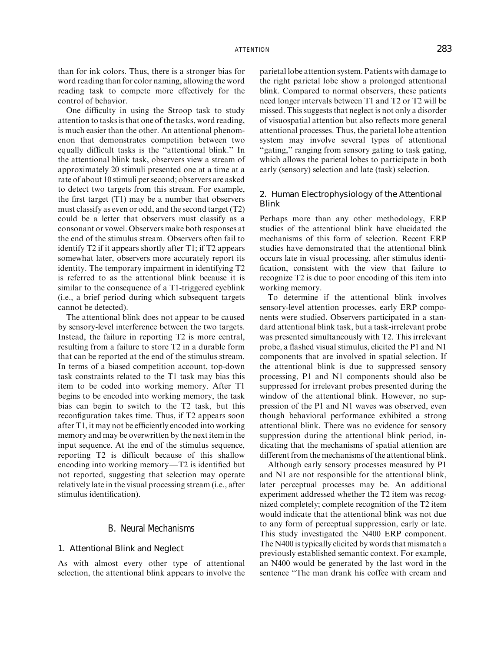than for ink colors. Thus, there is a stronger bias for word reading than for color naming, allowing the word reading task to compete more effectively for the control of behavior.

One difficulty in using the Stroop task to study attention to tasks is that one of the tasks, word reading, is much easier than the other. An attentional phenomenon that demonstrates competition between two equally difficult tasks is the ''attentional blink.'' In the attentional blink task, observers view a stream of approximately 20 stimuli presented one at a time at a rate of about 10 stimuli per second; observers are asked to detect two targets from this stream. For example, the first target (T1) may be a number that observers must classify as even or odd, and the second target (T2) could be a letter that observers must classify as a consonant or vowel. Observers make both responses at the end of the stimulus stream. Observers often fail to identify T2 if it appears shortly after T1; if T2 appears somewhat later, observers more accurately report its identity. The temporary impairment in identifying T2 is referred to as the attentional blink because it is similar to the consequence of a T1-triggered eyeblink (i.e., a brief period during which subsequent targets cannot be detected).

The attentional blink does not appear to be caused by sensory-level interference between the two targets. Instead, the failure in reporting T2 is more central, resulting from a failure to store T2 in a durable form that can be reported at the end of the stimulus stream. In terms of a biased competition account, top-down task constraints related to the T1 task may bias this item to be coded into working memory. After T1 begins to be encoded into working memory, the task bias can begin to switch to the T2 task, but this reconfiguration takes time. Thus, if T2 appears soon after T1, it may not be efficiently encoded into working memory and may be overwritten by the next item in the input sequence. At the end of the stimulus sequence, reporting T2 is difficult because of this shallow encoding into working memory— $T2$  is identified but not reported, suggesting that selection may operate relatively late in the visual processing stream (i.e., after stimulus identification).

#### B. Neural Mechanisms

#### 1. Attentional Blink and Neglect

As with almost every other type of attentional selection, the attentional blink appears to involve the parietal lobe attention system. Patients with damage to the right parietal lobe show a prolonged attentional blink. Compared to normal observers, these patients need longer intervals between T1 and T2 or T2 will be missed. This suggests that neglect is not only a disorder of visuospatial attention but also reflects more general attentional processes. Thus, the parietal lobe attention system may involve several types of attentional "gating," ranging from sensory gating to task gating, which allows the parietal lobes to participate in both early (sensory) selection and late (task) selection.

### 2. Human Electrophysiology of the Attentional Blink

Perhaps more than any other methodology, ERP studies of the attentional blink have elucidated the mechanisms of this form of selection. Recent ERP studies have demonstrated that the attentional blink occurs late in visual processing, after stimulus identification, consistent with the view that failure to recognize T2 is due to poor encoding of this item into working memory.

To determine if the attentional blink involves sensory-level attention processes, early ERP components were studied. Observers participated in a standard attentional blink task, but a task-irrelevant probe was presented simultaneously with T2. This irrelevant probe, a flashed visual stimulus, elicited the P1 and N1 components that are involved in spatial selection. If the attentional blink is due to suppressed sensory processing, P1 and N1 components should also be suppressed for irrelevant probes presented during the window of the attentional blink. However, no suppression of the P1 and N1 waves was observed, even though behavioral performance exhibited a strong attentional blink. There was no evidence for sensory suppression during the attentional blink period, indicating that the mechanisms of spatial attention are different from the mechanisms of the attentional blink.

Although early sensory processes measured by P1 and N1 are not responsible for the attentional blink, later perceptual processes may be. An additional experiment addressed whether the T2 item was recognized completely; complete recognition of the T2 item would indicate that the attentional blink was not due to any form of perceptual suppression, early or late. This study investigated the N400 ERP component. The N400 is typically elicited by words that mismatch a previously established semantic context. For example, an N400 would be generated by the last word in the sentence ''The man drank his coffee with cream and